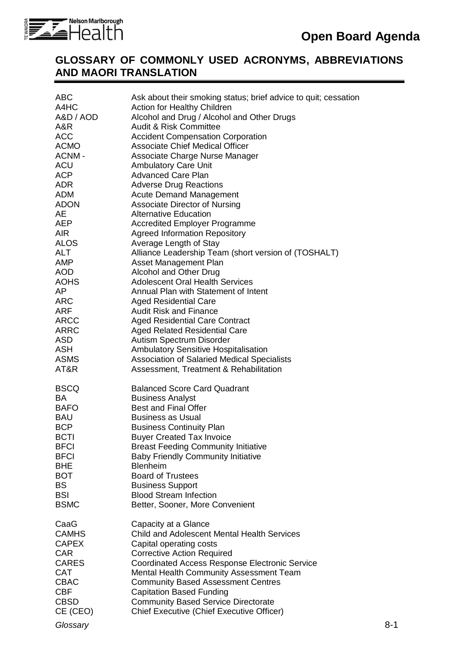

### **GLOSSARY OF COMMONLY USED ACRONYMS, ABBREVIATIONS AND MAORI TRANSLATION**

| <b>ABC</b><br>A4HC<br>A&D / AOD<br>A&R<br><b>ACC</b><br><b>ACMO</b><br>ACNM-<br><b>ACU</b><br>ACP<br>ADR<br>ADM<br>ADON<br>AE<br>AEP<br><b>AIR</b><br><b>ALOS</b><br><b>ALT</b><br><b>AMP</b><br><b>AOD</b><br>AOHS<br>AP<br><b>ARC</b><br>ARF<br><b>ARCC</b><br><b>ARRC</b><br><b>ASD</b> | Ask about their smoking status; brief advice to quit; cessation<br>Action for Healthy Children<br>Alcohol and Drug / Alcohol and Other Drugs<br><b>Audit &amp; Risk Committee</b><br><b>Accident Compensation Corporation</b><br><b>Associate Chief Medical Officer</b><br>Associate Charge Nurse Manager<br><b>Ambulatory Care Unit</b><br><b>Advanced Care Plan</b><br><b>Adverse Drug Reactions</b><br><b>Acute Demand Management</b><br><b>Associate Director of Nursing</b><br><b>Alternative Education</b><br><b>Accredited Employer Programme</b><br><b>Agreed Information Repository</b><br>Average Length of Stay<br>Alliance Leadership Team (short version of (TOSHALT)<br>Asset Management Plan<br>Alcohol and Other Drug<br><b>Adolescent Oral Health Services</b><br>Annual Plan with Statement of Intent<br><b>Aged Residential Care</b><br><b>Audit Risk and Finance</b><br><b>Aged Residential Care Contract</b><br><b>Aged Related Residential Care</b><br>Autism Spectrum Disorder |     |
|--------------------------------------------------------------------------------------------------------------------------------------------------------------------------------------------------------------------------------------------------------------------------------------------|-------------------------------------------------------------------------------------------------------------------------------------------------------------------------------------------------------------------------------------------------------------------------------------------------------------------------------------------------------------------------------------------------------------------------------------------------------------------------------------------------------------------------------------------------------------------------------------------------------------------------------------------------------------------------------------------------------------------------------------------------------------------------------------------------------------------------------------------------------------------------------------------------------------------------------------------------------------------------------------------------------|-----|
| <b>ASH</b>                                                                                                                                                                                                                                                                                 | <b>Ambulatory Sensitive Hospitalisation</b>                                                                                                                                                                                                                                                                                                                                                                                                                                                                                                                                                                                                                                                                                                                                                                                                                                                                                                                                                           |     |
| <b>ASMS</b><br>AT&R                                                                                                                                                                                                                                                                        | <b>Association of Salaried Medical Specialists</b><br>Assessment, Treatment & Rehabilitation                                                                                                                                                                                                                                                                                                                                                                                                                                                                                                                                                                                                                                                                                                                                                                                                                                                                                                          |     |
| <b>BSCQ</b><br>BA<br><b>BAFO</b><br><b>BAU</b><br><b>BCP</b><br><b>BCTI</b><br><b>BFCI</b><br><b>BFCI</b><br><b>BHE</b><br><b>BOT</b><br><b>BS</b><br><b>BSI</b><br><b>BSMC</b>                                                                                                            | <b>Balanced Score Card Quadrant</b><br><b>Business Analyst</b><br><b>Best and Final Offer</b><br><b>Business as Usual</b><br><b>Business Continuity Plan</b><br><b>Buyer Created Tax Invoice</b><br><b>Breast Feeding Community Initiative</b><br><b>Baby Friendly Community Initiative</b><br><b>Blenheim</b><br><b>Board of Trustees</b><br><b>Business Support</b><br><b>Blood Stream Infection</b><br>Better, Sooner, More Convenient                                                                                                                                                                                                                                                                                                                                                                                                                                                                                                                                                             |     |
| CaaG<br><b>CAMHS</b><br><b>CAPEX</b><br><b>CAR</b><br><b>CARES</b><br><b>CAT</b><br><b>CBAC</b><br><b>CBF</b><br><b>CBSD</b><br>CE (CEO)                                                                                                                                                   | Capacity at a Glance<br><b>Child and Adolescent Mental Health Services</b><br>Capital operating costs<br><b>Corrective Action Required</b><br><b>Coordinated Access Response Electronic Service</b><br><b>Mental Health Community Assessment Team</b><br><b>Community Based Assessment Centres</b><br><b>Capitation Based Funding</b><br><b>Community Based Service Directorate</b><br><b>Chief Executive (Chief Executive Officer)</b>                                                                                                                                                                                                                                                                                                                                                                                                                                                                                                                                                               |     |
| Glossary                                                                                                                                                                                                                                                                                   |                                                                                                                                                                                                                                                                                                                                                                                                                                                                                                                                                                                                                                                                                                                                                                                                                                                                                                                                                                                                       | 8-1 |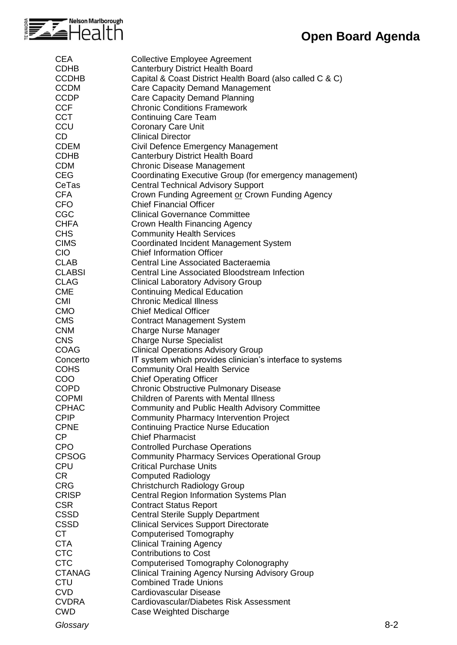

| CEA           | <b>Collective Employee Agreement</b>                      |         |
|---------------|-----------------------------------------------------------|---------|
| <b>CDHB</b>   | <b>Canterbury District Health Board</b>                   |         |
| <b>CCDHB</b>  | Capital & Coast District Health Board (also called C & C) |         |
| <b>CCDM</b>   | <b>Care Capacity Demand Management</b>                    |         |
| <b>CCDP</b>   | Care Capacity Demand Planning                             |         |
| <b>CCF</b>    | <b>Chronic Conditions Framework</b>                       |         |
| <b>CCT</b>    | <b>Continuing Care Team</b>                               |         |
| CCU           |                                                           |         |
|               | <b>Coronary Care Unit</b>                                 |         |
| CD            | <b>Clinical Director</b>                                  |         |
| CDEM          | Civil Defence Emergency Management                        |         |
| <b>CDHB</b>   | <b>Canterbury District Health Board</b>                   |         |
| <b>CDM</b>    | <b>Chronic Disease Management</b>                         |         |
| <b>CEG</b>    | Coordinating Executive Group (for emergency management)   |         |
| CeTas         | <b>Central Technical Advisory Support</b>                 |         |
| <b>CFA</b>    | Crown Funding Agreement or Crown Funding Agency           |         |
| <b>CFO</b>    | <b>Chief Financial Officer</b>                            |         |
| <b>CGC</b>    | <b>Clinical Governance Committee</b>                      |         |
| <b>CHFA</b>   | Crown Health Financing Agency                             |         |
| <b>CHS</b>    | <b>Community Health Services</b>                          |         |
| <b>CIMS</b>   | Coordinated Incident Management System                    |         |
| <b>CIO</b>    | <b>Chief Information Officer</b>                          |         |
|               |                                                           |         |
| <b>CLAB</b>   | <b>Central Line Associated Bacteraemia</b>                |         |
| <b>CLABSI</b> | <b>Central Line Associated Bloodstream Infection</b>      |         |
| <b>CLAG</b>   | <b>Clinical Laboratory Advisory Group</b>                 |         |
| <b>CME</b>    | <b>Continuing Medical Education</b>                       |         |
| <b>CMI</b>    | <b>Chronic Medical Illness</b>                            |         |
| <b>CMO</b>    | <b>Chief Medical Officer</b>                              |         |
| <b>CMS</b>    | <b>Contract Management System</b>                         |         |
| <b>CNM</b>    | <b>Charge Nurse Manager</b>                               |         |
| <b>CNS</b>    | <b>Charge Nurse Specialist</b>                            |         |
| <b>COAG</b>   | <b>Clinical Operations Advisory Group</b>                 |         |
| Concerto      | IT system which provides clinician's interface to systems |         |
| <b>COHS</b>   | <b>Community Oral Health Service</b>                      |         |
| COO           | <b>Chief Operating Officer</b>                            |         |
| <b>COPD</b>   | <b>Chronic Obstructive Pulmonary Disease</b>              |         |
| <b>COPMI</b>  | <b>Children of Parents with Mental Illness</b>            |         |
| <b>CPHAC</b>  |                                                           |         |
|               | <b>Community and Public Health Advisory Committee</b>     |         |
| <b>CPIP</b>   | <b>Community Pharmacy Intervention Project</b>            |         |
| <b>CPNE</b>   | <b>Continuing Practice Nurse Education</b>                |         |
| <b>CP</b>     | <b>Chief Pharmacist</b>                                   |         |
| <b>CPO</b>    | <b>Controlled Purchase Operations</b>                     |         |
| <b>CPSOG</b>  | <b>Community Pharmacy Services Operational Group</b>      |         |
| <b>CPU</b>    | <b>Critical Purchase Units</b>                            |         |
| CR.           | <b>Computed Radiology</b>                                 |         |
| <b>CRG</b>    | Christchurch Radiology Group                              |         |
| <b>CRISP</b>  | Central Region Information Systems Plan                   |         |
| <b>CSR</b>    | <b>Contract Status Report</b>                             |         |
| <b>CSSD</b>   | <b>Central Sterile Supply Department</b>                  |         |
| <b>CSSD</b>   | <b>Clinical Services Support Directorate</b>              |         |
| <b>CT</b>     | <b>Computerised Tomography</b>                            |         |
|               |                                                           |         |
| <b>CTA</b>    | <b>Clinical Training Agency</b>                           |         |
| <b>CTC</b>    | <b>Contributions to Cost</b>                              |         |
| <b>CTC</b>    | Computerised Tomography Colonography                      |         |
| <b>CTANAG</b> | <b>Clinical Training Agency Nursing Advisory Group</b>    |         |
| <b>CTU</b>    | <b>Combined Trade Unions</b>                              |         |
| <b>CVD</b>    | Cardiovascular Disease                                    |         |
| <b>CVDRA</b>  | Cardiovascular/Diabetes Risk Assessment                   |         |
| <b>CWD</b>    | Case Weighted Discharge                                   |         |
| Glossary      |                                                           | $8 - 2$ |
|               |                                                           |         |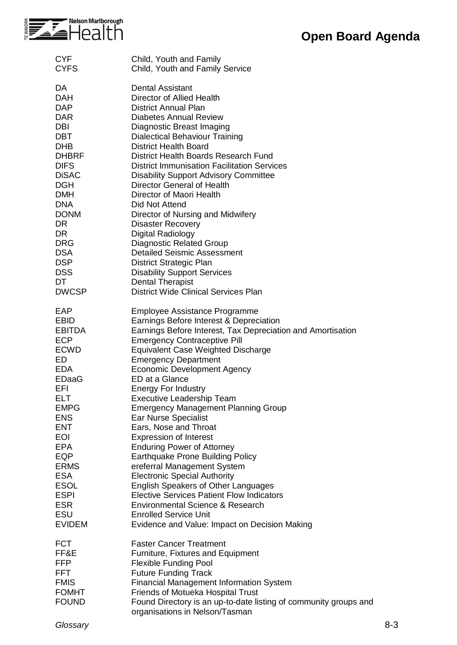

| <b>CYF</b>                                                                                    | Child, Youth and Family                                                                                                                                                                                                                                                                                                                |
|-----------------------------------------------------------------------------------------------|----------------------------------------------------------------------------------------------------------------------------------------------------------------------------------------------------------------------------------------------------------------------------------------------------------------------------------------|
| <b>CYFS</b>                                                                                   | Child, Youth and Family Service                                                                                                                                                                                                                                                                                                        |
| DA                                                                                            | Dental Assistant                                                                                                                                                                                                                                                                                                                       |
| <b>DAH</b>                                                                                    | Director of Allied Health                                                                                                                                                                                                                                                                                                              |
| <b>DAP</b>                                                                                    | <b>District Annual Plan</b>                                                                                                                                                                                                                                                                                                            |
| <b>DAR</b>                                                                                    | <b>Diabetes Annual Review</b>                                                                                                                                                                                                                                                                                                          |
| <b>DBI</b>                                                                                    | Diagnostic Breast Imaging                                                                                                                                                                                                                                                                                                              |
| <b>DBT</b>                                                                                    | <b>Dialectical Behaviour Training</b>                                                                                                                                                                                                                                                                                                  |
| <b>DHB</b>                                                                                    | <b>District Health Board</b>                                                                                                                                                                                                                                                                                                           |
| <b>DHBRF</b>                                                                                  | District Health Boards Research Fund                                                                                                                                                                                                                                                                                                   |
| <b>DIFS</b>                                                                                   | <b>District Immunisation Facilitation Services</b>                                                                                                                                                                                                                                                                                     |
| <b>DiSAC</b>                                                                                  | <b>Disability Support Advisory Committee</b>                                                                                                                                                                                                                                                                                           |
| <b>DGH</b>                                                                                    | Director General of Health                                                                                                                                                                                                                                                                                                             |
| <b>DMH</b>                                                                                    | Director of Maori Health                                                                                                                                                                                                                                                                                                               |
| <b>DNA</b>                                                                                    | Did Not Attend                                                                                                                                                                                                                                                                                                                         |
| <b>DONM</b>                                                                                   | Director of Nursing and Midwifery                                                                                                                                                                                                                                                                                                      |
| <b>DR</b>                                                                                     | <b>Disaster Recovery</b>                                                                                                                                                                                                                                                                                                               |
| DR.                                                                                           | Digital Radiology                                                                                                                                                                                                                                                                                                                      |
| <b>DRG</b>                                                                                    | <b>Diagnostic Related Group</b>                                                                                                                                                                                                                                                                                                        |
| <b>DSA</b>                                                                                    | <b>Detailed Seismic Assessment</b>                                                                                                                                                                                                                                                                                                     |
| <b>DSP</b>                                                                                    | <b>District Strategic Plan</b>                                                                                                                                                                                                                                                                                                         |
| <b>DSS</b>                                                                                    | <b>Disability Support Services</b>                                                                                                                                                                                                                                                                                                     |
| DT.                                                                                           | <b>Dental Therapist</b>                                                                                                                                                                                                                                                                                                                |
| <b>DWCSP</b>                                                                                  | <b>District Wide Clinical Services Plan</b>                                                                                                                                                                                                                                                                                            |
| EAP                                                                                           | Employee Assistance Programme                                                                                                                                                                                                                                                                                                          |
| <b>EBID</b>                                                                                   | Earnings Before Interest & Depreciation                                                                                                                                                                                                                                                                                                |
| <b>EBITDA</b>                                                                                 | Earnings Before Interest, Tax Depreciation and Amortisation                                                                                                                                                                                                                                                                            |
| <b>ECP</b>                                                                                    | <b>Emergency Contraceptive Pill</b>                                                                                                                                                                                                                                                                                                    |
| <b>ECWD</b>                                                                                   | <b>Equivalent Case Weighted Discharge</b>                                                                                                                                                                                                                                                                                              |
| ED                                                                                            | <b>Emergency Department</b>                                                                                                                                                                                                                                                                                                            |
| <b>EDA</b>                                                                                    | <b>Economic Development Agency</b>                                                                                                                                                                                                                                                                                                     |
| <b>EDaaG</b>                                                                                  | ED at a Glance                                                                                                                                                                                                                                                                                                                         |
| EFI                                                                                           | <b>Energy For Industry</b>                                                                                                                                                                                                                                                                                                             |
| <b>ELT</b>                                                                                    | <b>Executive Leadership Team</b>                                                                                                                                                                                                                                                                                                       |
| <b>EMPG</b>                                                                                   | <b>Emergency Management Planning Group</b>                                                                                                                                                                                                                                                                                             |
| <b>ENS</b>                                                                                    | Ear Nurse Specialist                                                                                                                                                                                                                                                                                                                   |
| <b>ENT</b>                                                                                    | Ears, Nose and Throat                                                                                                                                                                                                                                                                                                                  |
| <b>EOI</b>                                                                                    | <b>Expression of Interest</b>                                                                                                                                                                                                                                                                                                          |
| <b>EPA</b>                                                                                    | <b>Enduring Power of Attorney</b>                                                                                                                                                                                                                                                                                                      |
| EQP                                                                                           | <b>Earthquake Prone Building Policy</b>                                                                                                                                                                                                                                                                                                |
| <b>ERMS</b>                                                                                   | ereferral Management System                                                                                                                                                                                                                                                                                                            |
| <b>ESA</b>                                                                                    | <b>Electronic Special Authority</b>                                                                                                                                                                                                                                                                                                    |
| <b>ESOL</b>                                                                                   | <b>English Speakers of Other Languages</b>                                                                                                                                                                                                                                                                                             |
| <b>ESPI</b>                                                                                   | <b>Elective Services Patient Flow Indicators</b>                                                                                                                                                                                                                                                                                       |
| <b>ESR</b>                                                                                    | <b>Environmental Science &amp; Research</b>                                                                                                                                                                                                                                                                                            |
| ESU                                                                                           | <b>Enrolled Service Unit</b>                                                                                                                                                                                                                                                                                                           |
| <b>EVIDEM</b>                                                                                 | Evidence and Value: Impact on Decision Making                                                                                                                                                                                                                                                                                          |
| <b>FCT</b><br>FF&E<br><b>FFP</b><br><b>FFT</b><br><b>FMIS</b><br><b>FOMHT</b><br><b>FOUND</b> | <b>Faster Cancer Treatment</b><br>Furniture, Fixtures and Equipment<br><b>Flexible Funding Pool</b><br><b>Future Funding Track</b><br><b>Financial Management Information System</b><br><b>Friends of Motueka Hospital Trust</b><br>Found Directory is an up-to-date listing of community groups and<br>organisations in Nelson/Tasman |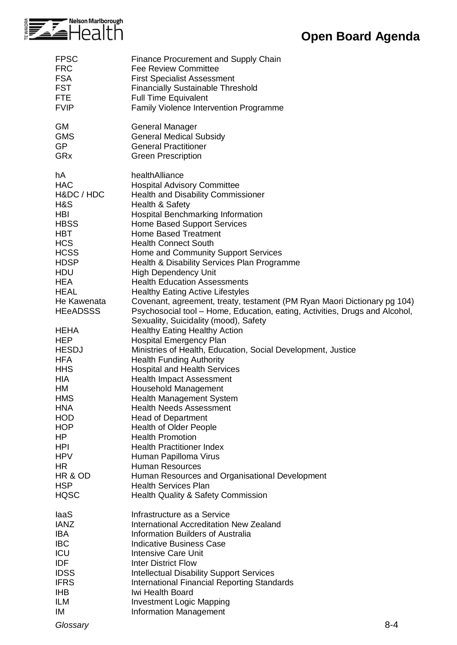

| <b>FPSC</b>                                                                                                                                                                                                                                                 | <b>Finance Procurement and Supply Chain</b>                                                                                                                                                                                                                                                                                                                                                                                                                                                                                                                                                                                                                                                                                                                                                |
|-------------------------------------------------------------------------------------------------------------------------------------------------------------------------------------------------------------------------------------------------------------|--------------------------------------------------------------------------------------------------------------------------------------------------------------------------------------------------------------------------------------------------------------------------------------------------------------------------------------------------------------------------------------------------------------------------------------------------------------------------------------------------------------------------------------------------------------------------------------------------------------------------------------------------------------------------------------------------------------------------------------------------------------------------------------------|
| <b>FRC</b>                                                                                                                                                                                                                                                  | <b>Fee Review Committee</b>                                                                                                                                                                                                                                                                                                                                                                                                                                                                                                                                                                                                                                                                                                                                                                |
| <b>FSA</b>                                                                                                                                                                                                                                                  | <b>First Specialist Assessment</b>                                                                                                                                                                                                                                                                                                                                                                                                                                                                                                                                                                                                                                                                                                                                                         |
| <b>FST</b>                                                                                                                                                                                                                                                  | <b>Financially Sustainable Threshold</b>                                                                                                                                                                                                                                                                                                                                                                                                                                                                                                                                                                                                                                                                                                                                                   |
| <b>FTE</b>                                                                                                                                                                                                                                                  | <b>Full Time Equivalent</b>                                                                                                                                                                                                                                                                                                                                                                                                                                                                                                                                                                                                                                                                                                                                                                |
| <b>FVIP</b>                                                                                                                                                                                                                                                 | Family Violence Intervention Programme                                                                                                                                                                                                                                                                                                                                                                                                                                                                                                                                                                                                                                                                                                                                                     |
| GM                                                                                                                                                                                                                                                          | <b>General Manager</b>                                                                                                                                                                                                                                                                                                                                                                                                                                                                                                                                                                                                                                                                                                                                                                     |
| <b>GMS</b>                                                                                                                                                                                                                                                  | <b>General Medical Subsidy</b>                                                                                                                                                                                                                                                                                                                                                                                                                                                                                                                                                                                                                                                                                                                                                             |
| <b>GP</b>                                                                                                                                                                                                                                                   | <b>General Practitioner</b>                                                                                                                                                                                                                                                                                                                                                                                                                                                                                                                                                                                                                                                                                                                                                                |
| GRx                                                                                                                                                                                                                                                         | <b>Green Prescription</b>                                                                                                                                                                                                                                                                                                                                                                                                                                                                                                                                                                                                                                                                                                                                                                  |
| hA                                                                                                                                                                                                                                                          | healthAlliance                                                                                                                                                                                                                                                                                                                                                                                                                                                                                                                                                                                                                                                                                                                                                                             |
| <b>HAC</b>                                                                                                                                                                                                                                                  | <b>Hospital Advisory Committee</b>                                                                                                                                                                                                                                                                                                                                                                                                                                                                                                                                                                                                                                                                                                                                                         |
| H&DC / HDC                                                                                                                                                                                                                                                  | <b>Health and Disability Commissioner</b>                                                                                                                                                                                                                                                                                                                                                                                                                                                                                                                                                                                                                                                                                                                                                  |
| H&S                                                                                                                                                                                                                                                         | Health & Safety                                                                                                                                                                                                                                                                                                                                                                                                                                                                                                                                                                                                                                                                                                                                                                            |
| <b>HBI</b>                                                                                                                                                                                                                                                  | <b>Hospital Benchmarking Information</b>                                                                                                                                                                                                                                                                                                                                                                                                                                                                                                                                                                                                                                                                                                                                                   |
| <b>HBSS</b>                                                                                                                                                                                                                                                 | <b>Home Based Support Services</b>                                                                                                                                                                                                                                                                                                                                                                                                                                                                                                                                                                                                                                                                                                                                                         |
| <b>HBT</b>                                                                                                                                                                                                                                                  | <b>Home Based Treatment</b>                                                                                                                                                                                                                                                                                                                                                                                                                                                                                                                                                                                                                                                                                                                                                                |
| <b>HCS</b>                                                                                                                                                                                                                                                  | <b>Health Connect South</b>                                                                                                                                                                                                                                                                                                                                                                                                                                                                                                                                                                                                                                                                                                                                                                |
| <b>HCSS</b>                                                                                                                                                                                                                                                 | Home and Community Support Services                                                                                                                                                                                                                                                                                                                                                                                                                                                                                                                                                                                                                                                                                                                                                        |
| <b>HDSP</b>                                                                                                                                                                                                                                                 | Health & Disability Services Plan Programme                                                                                                                                                                                                                                                                                                                                                                                                                                                                                                                                                                                                                                                                                                                                                |
| <b>HDU</b>                                                                                                                                                                                                                                                  | <b>High Dependency Unit</b>                                                                                                                                                                                                                                                                                                                                                                                                                                                                                                                                                                                                                                                                                                                                                                |
| <b>HEA</b>                                                                                                                                                                                                                                                  | <b>Health Education Assessments</b>                                                                                                                                                                                                                                                                                                                                                                                                                                                                                                                                                                                                                                                                                                                                                        |
| <b>HEAL</b>                                                                                                                                                                                                                                                 | <b>Healthy Eating Active Lifestyles</b>                                                                                                                                                                                                                                                                                                                                                                                                                                                                                                                                                                                                                                                                                                                                                    |
| He Kawenata                                                                                                                                                                                                                                                 | Covenant, agreement, treaty, testament (PM Ryan Maori Dictionary pg 104)                                                                                                                                                                                                                                                                                                                                                                                                                                                                                                                                                                                                                                                                                                                   |
| <b>HEeADSSS</b><br><b>HEHA</b><br><b>HEP</b><br><b>HESDJ</b><br><b>HFA</b><br><b>HHS</b><br><b>HIA</b><br>HM<br><b>HMS</b><br><b>HNA</b><br><b>HOD</b><br><b>HOP</b><br>HP<br><b>HPI</b><br><b>HPV</b><br><b>HR</b><br>HR & OD<br><b>HSP</b><br><b>HQSC</b> | Psychosocial tool – Home, Education, eating, Activities, Drugs and Alcohol,<br>Sexuality, Suicidality (mood), Safety<br><b>Healthy Eating Healthy Action</b><br><b>Hospital Emergency Plan</b><br>Ministries of Health, Education, Social Development, Justice<br><b>Health Funding Authority</b><br><b>Hospital and Health Services</b><br><b>Health Impact Assessment</b><br>Household Management<br><b>Health Management System</b><br><b>Health Needs Assessment</b><br><b>Head of Department</b><br><b>Health of Older People</b><br><b>Health Promotion</b><br><b>Health Practitioner Index</b><br>Human Papilloma Virus<br><b>Human Resources</b><br>Human Resources and Organisational Development<br><b>Health Services Plan</b><br><b>Health Quality &amp; Safety Commission</b> |
| laaS                                                                                                                                                                                                                                                        | Infrastructure as a Service                                                                                                                                                                                                                                                                                                                                                                                                                                                                                                                                                                                                                                                                                                                                                                |
| <b>IANZ</b>                                                                                                                                                                                                                                                 | <b>International Accreditation New Zealand</b>                                                                                                                                                                                                                                                                                                                                                                                                                                                                                                                                                                                                                                                                                                                                             |
| <b>IBA</b>                                                                                                                                                                                                                                                  | <b>Information Builders of Australia</b>                                                                                                                                                                                                                                                                                                                                                                                                                                                                                                                                                                                                                                                                                                                                                   |
| <b>IBC</b>                                                                                                                                                                                                                                                  | <b>Indicative Business Case</b>                                                                                                                                                                                                                                                                                                                                                                                                                                                                                                                                                                                                                                                                                                                                                            |
| ICU                                                                                                                                                                                                                                                         | <b>Intensive Care Unit</b>                                                                                                                                                                                                                                                                                                                                                                                                                                                                                                                                                                                                                                                                                                                                                                 |
| <b>IDF</b>                                                                                                                                                                                                                                                  | <b>Inter District Flow</b>                                                                                                                                                                                                                                                                                                                                                                                                                                                                                                                                                                                                                                                                                                                                                                 |
| <b>IDSS</b>                                                                                                                                                                                                                                                 | <b>Intellectual Disability Support Services</b>                                                                                                                                                                                                                                                                                                                                                                                                                                                                                                                                                                                                                                                                                                                                            |
| <b>IFRS</b>                                                                                                                                                                                                                                                 | <b>International Financial Reporting Standards</b>                                                                                                                                                                                                                                                                                                                                                                                                                                                                                                                                                                                                                                                                                                                                         |
| <b>IHB</b>                                                                                                                                                                                                                                                  | Iwi Health Board                                                                                                                                                                                                                                                                                                                                                                                                                                                                                                                                                                                                                                                                                                                                                                           |
| <b>ILM</b>                                                                                                                                                                                                                                                  | <b>Investment Logic Mapping</b>                                                                                                                                                                                                                                                                                                                                                                                                                                                                                                                                                                                                                                                                                                                                                            |
| IM                                                                                                                                                                                                                                                          | <b>Information Management</b>                                                                                                                                                                                                                                                                                                                                                                                                                                                                                                                                                                                                                                                                                                                                                              |
| Glossary                                                                                                                                                                                                                                                    | $8 - 4$                                                                                                                                                                                                                                                                                                                                                                                                                                                                                                                                                                                                                                                                                                                                                                                    |
|                                                                                                                                                                                                                                                             |                                                                                                                                                                                                                                                                                                                                                                                                                                                                                                                                                                                                                                                                                                                                                                                            |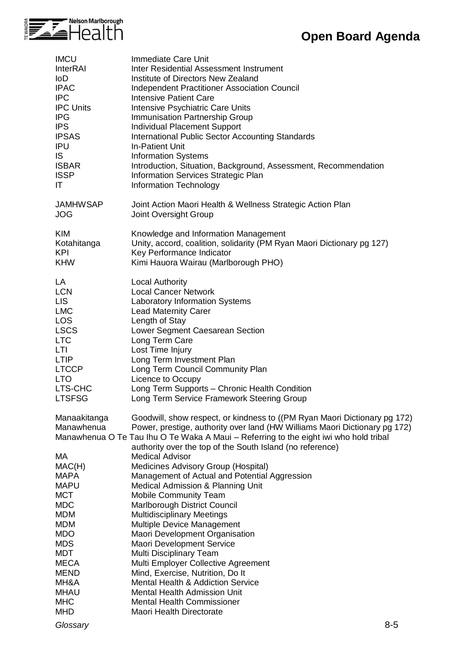

| <b>IMCU</b>                | Immediate Care Unit                                                                                                                                                                                                                                                                                           |
|----------------------------|---------------------------------------------------------------------------------------------------------------------------------------------------------------------------------------------------------------------------------------------------------------------------------------------------------------|
| <b>InterRAI</b>            | Inter Residential Assessment Instrument                                                                                                                                                                                                                                                                       |
| <b>IoD</b>                 | Institute of Directors New Zealand                                                                                                                                                                                                                                                                            |
| <b>IPAC</b>                | <b>Independent Practitioner Association Council</b>                                                                                                                                                                                                                                                           |
| <b>IPC</b>                 | <b>Intensive Patient Care</b>                                                                                                                                                                                                                                                                                 |
| <b>IPC Units</b>           | Intensive Psychiatric Care Units                                                                                                                                                                                                                                                                              |
| <b>IPG</b>                 | Immunisation Partnership Group                                                                                                                                                                                                                                                                                |
| <b>IPS</b>                 | <b>Individual Placement Support</b>                                                                                                                                                                                                                                                                           |
| <b>IPSAS</b>               | <b>International Public Sector Accounting Standards</b>                                                                                                                                                                                                                                                       |
| <b>IPU</b>                 | <b>In-Patient Unit</b>                                                                                                                                                                                                                                                                                        |
| <b>IS</b>                  | <b>Information Systems</b>                                                                                                                                                                                                                                                                                    |
| <b>ISBAR</b>               | Introduction, Situation, Background, Assessment, Recommendation                                                                                                                                                                                                                                               |
| <b>ISSP</b>                | Information Services Strategic Plan                                                                                                                                                                                                                                                                           |
| IT                         | Information Technology                                                                                                                                                                                                                                                                                        |
| <b>JAMHWSAP</b>            | Joint Action Maori Health & Wellness Strategic Action Plan                                                                                                                                                                                                                                                    |
| <b>JOG</b>                 | Joint Oversight Group                                                                                                                                                                                                                                                                                         |
| <b>KIM</b>                 | Knowledge and Information Management                                                                                                                                                                                                                                                                          |
| Kotahitanga                | Unity, accord, coalition, solidarity (PM Ryan Maori Dictionary pg 127)                                                                                                                                                                                                                                        |
| <b>KPI</b>                 | Key Performance Indicator                                                                                                                                                                                                                                                                                     |
| <b>KHW</b>                 | Kimi Hauora Wairau (Marlborough PHO)                                                                                                                                                                                                                                                                          |
| LA                         | <b>Local Authority</b>                                                                                                                                                                                                                                                                                        |
| <b>LCN</b>                 | <b>Local Cancer Network</b>                                                                                                                                                                                                                                                                                   |
| <b>LIS</b>                 | <b>Laboratory Information Systems</b>                                                                                                                                                                                                                                                                         |
| <b>LMC</b>                 | <b>Lead Maternity Carer</b>                                                                                                                                                                                                                                                                                   |
| <b>LOS</b>                 | Length of Stay                                                                                                                                                                                                                                                                                                |
| <b>LSCS</b>                | Lower Segment Caesarean Section                                                                                                                                                                                                                                                                               |
| <b>LTC</b>                 | Long Term Care                                                                                                                                                                                                                                                                                                |
| LTI                        | Lost Time Injury                                                                                                                                                                                                                                                                                              |
| <b>LTIP</b>                | Long Term Investment Plan                                                                                                                                                                                                                                                                                     |
| <b>LTCCP</b>               | Long Term Council Community Plan                                                                                                                                                                                                                                                                              |
| <b>LTO</b>                 | Licence to Occupy                                                                                                                                                                                                                                                                                             |
| LTS-CHC                    | Long Term Supports - Chronic Health Condition                                                                                                                                                                                                                                                                 |
| <b>LTSFSG</b>              | Long Term Service Framework Steering Group                                                                                                                                                                                                                                                                    |
| Manaakitanga<br>Manawhenua | Goodwill, show respect, or kindness to ((PM Ryan Maori Dictionary pg 172)<br>Power, prestige, authority over land (HW Williams Maori Dictionary pg 172)<br>Manawhenua O Te Tau Ihu O Te Waka A Maui - Referring to the eight iwi who hold tribal<br>authority over the top of the South Island (no reference) |
| МA                         | <b>Medical Advisor</b>                                                                                                                                                                                                                                                                                        |
| MAC(H)                     | Medicines Advisory Group (Hospital)                                                                                                                                                                                                                                                                           |
| <b>MAPA</b>                | Management of Actual and Potential Aggression                                                                                                                                                                                                                                                                 |
| <b>MAPU</b>                | Medical Admission & Planning Unit                                                                                                                                                                                                                                                                             |
| <b>MCT</b>                 | <b>Mobile Community Team</b>                                                                                                                                                                                                                                                                                  |
| <b>MDC</b>                 | Marlborough District Council                                                                                                                                                                                                                                                                                  |
| <b>MDM</b>                 | <b>Multidisciplinary Meetings</b>                                                                                                                                                                                                                                                                             |
| <b>MDM</b>                 | Multiple Device Management                                                                                                                                                                                                                                                                                    |
| <b>MDO</b>                 | Maori Development Organisation                                                                                                                                                                                                                                                                                |
| <b>MDS</b>                 | <b>Maori Development Service</b>                                                                                                                                                                                                                                                                              |
| <b>MDT</b>                 | Multi Disciplinary Team                                                                                                                                                                                                                                                                                       |
| <b>MECA</b>                | Multi Employer Collective Agreement                                                                                                                                                                                                                                                                           |
| <b>MEND</b>                | Mind, Exercise, Nutrition, Do It                                                                                                                                                                                                                                                                              |
| MH&A                       | <b>Mental Health &amp; Addiction Service</b>                                                                                                                                                                                                                                                                  |
| <b>MHAU</b>                | <b>Mental Health Admission Unit</b>                                                                                                                                                                                                                                                                           |
| <b>MHC</b>                 | <b>Mental Health Commissioner</b>                                                                                                                                                                                                                                                                             |
| <b>MHD</b>                 | Maori Health Directorate                                                                                                                                                                                                                                                                                      |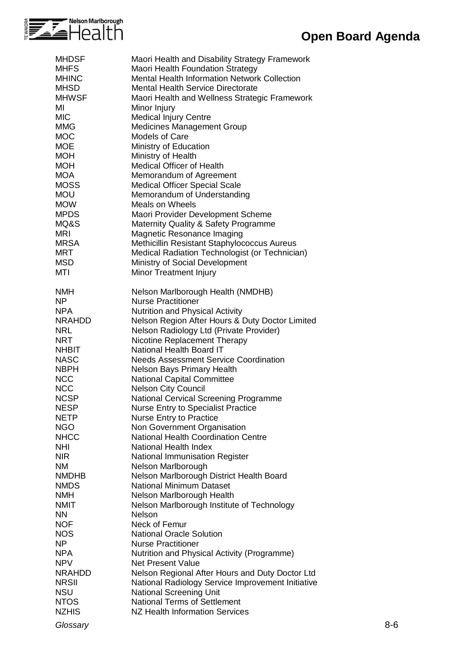

| <b>MHDSF</b>  | Maori Health and Disability Strategy Framework      |       |
|---------------|-----------------------------------------------------|-------|
| <b>MHFS</b>   | <b>Maori Health Foundation Strategy</b>             |       |
| <b>MHINC</b>  | <b>Mental Health Information Network Collection</b> |       |
| <b>MHSD</b>   | <b>Mental Health Service Directorate</b>            |       |
| MHWSF         | Maori Health and Wellness Strategic Framework       |       |
| MI            | Minor Injury                                        |       |
| <b>MIC</b>    | <b>Medical Injury Centre</b>                        |       |
| <b>MMG</b>    |                                                     |       |
|               | <b>Medicines Management Group</b>                   |       |
| <b>MOC</b>    | <b>Models of Care</b>                               |       |
| <b>MOE</b>    | Ministry of Education                               |       |
| <b>MOH</b>    | Ministry of Health                                  |       |
| <b>MOH</b>    | Medical Officer of Health                           |       |
| <b>MOA</b>    | Memorandum of Agreement                             |       |
| MOSS          | <b>Medical Officer Special Scale</b>                |       |
| <b>MOU</b>    | Memorandum of Understanding                         |       |
| <b>MOW</b>    | <b>Meals on Wheels</b>                              |       |
| <b>MPDS</b>   | Maori Provider Development Scheme                   |       |
| MQ&S          | Maternity Quality & Safety Programme                |       |
| <b>MRI</b>    | Magnetic Resonance Imaging                          |       |
| <b>MRSA</b>   | Methicillin Resistant Staphylococcus Aureus         |       |
|               |                                                     |       |
| <b>MRT</b>    | Medical Radiation Technologist (or Technician)      |       |
| <b>MSD</b>    | Ministry of Social Development                      |       |
| MTI           | Minor Treatment Injury                              |       |
|               |                                                     |       |
| <b>NMH</b>    | Nelson Marlborough Health (NMDHB)                   |       |
| <b>NP</b>     | <b>Nurse Practitioner</b>                           |       |
| <b>NPA</b>    | <b>Nutrition and Physical Activity</b>              |       |
| NRAHDD        | Nelson Region After Hours & Duty Doctor Limited     |       |
| <b>NRL</b>    | Nelson Radiology Ltd (Private Provider)             |       |
| <b>NRT</b>    | Nicotine Replacement Therapy                        |       |
| <b>NHBIT</b>  | National Health Board IT                            |       |
| <b>NASC</b>   | <b>Needs Assessment Service Coordination</b>        |       |
| <b>NBPH</b>   | Nelson Bays Primary Health                          |       |
| <b>NCC</b>    |                                                     |       |
|               | <b>National Capital Committee</b>                   |       |
| <b>NCC</b>    | <b>Nelson City Council</b>                          |       |
| <b>NCSP</b>   | National Cervical Screening Programme               |       |
| <b>NESP</b>   | <b>Nurse Entry to Specialist Practice</b>           |       |
| <b>NETP</b>   | <b>Nurse Entry to Practice</b>                      |       |
| <b>NGO</b>    | Non Government Organisation                         |       |
| <b>NHCC</b>   | <b>National Health Coordination Centre</b>          |       |
| <b>NHI</b>    | National Health Index                               |       |
| <b>NIR</b>    | National Immunisation Register                      |       |
| <b>NM</b>     | Nelson Marlborough                                  |       |
| <b>NMDHB</b>  | Nelson Marlborough District Health Board            |       |
| <b>NMDS</b>   | <b>National Minimum Dataset</b>                     |       |
| <b>NMH</b>    |                                                     |       |
|               | Nelson Marlborough Health                           |       |
| <b>NMIT</b>   | Nelson Marlborough Institute of Technology          |       |
| <b>NN</b>     | <b>Nelson</b>                                       |       |
| <b>NOF</b>    | Neck of Femur                                       |       |
| <b>NOS</b>    | <b>National Oracle Solution</b>                     |       |
| NP            | <b>Nurse Practitioner</b>                           |       |
| <b>NPA</b>    | Nutrition and Physical Activity (Programme)         |       |
| <b>NPV</b>    | <b>Net Present Value</b>                            |       |
| <b>NRAHDD</b> | Nelson Regional After Hours and Duty Doctor Ltd     |       |
| <b>NRSII</b>  | National Radiology Service Improvement Initiative   |       |
| <b>NSU</b>    | <b>National Screening Unit</b>                      |       |
| <b>NTOS</b>   | <b>National Terms of Settlement</b>                 |       |
| <b>NZHIS</b>  | <b>NZ Health Information Services</b>               |       |
|               |                                                     |       |
| Glossary      |                                                     | $8-6$ |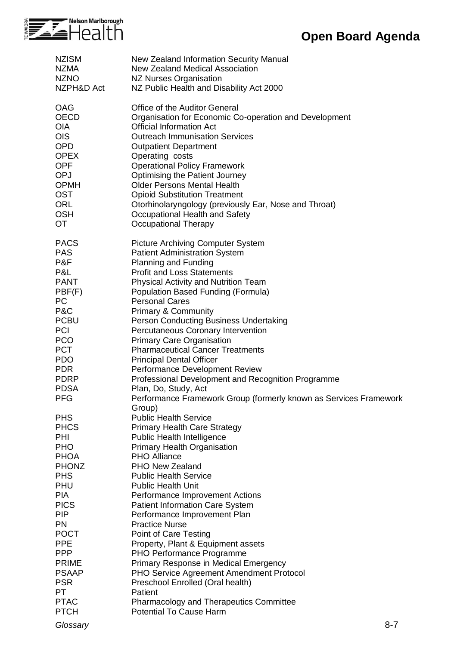

| <b>NZISM</b>                                                                                                                                                                                                          | New Zealand Information Security Manual                                                                                                                                                                                                                                                                                                                                                                                                                                                                                                                                                                                                                                                               |
|-----------------------------------------------------------------------------------------------------------------------------------------------------------------------------------------------------------------------|-------------------------------------------------------------------------------------------------------------------------------------------------------------------------------------------------------------------------------------------------------------------------------------------------------------------------------------------------------------------------------------------------------------------------------------------------------------------------------------------------------------------------------------------------------------------------------------------------------------------------------------------------------------------------------------------------------|
| <b>NZMA</b>                                                                                                                                                                                                           | New Zealand Medical Association                                                                                                                                                                                                                                                                                                                                                                                                                                                                                                                                                                                                                                                                       |
| <b>NZNO</b>                                                                                                                                                                                                           | NZ Nurses Organisation                                                                                                                                                                                                                                                                                                                                                                                                                                                                                                                                                                                                                                                                                |
| NZPH&D Act                                                                                                                                                                                                            | NZ Public Health and Disability Act 2000                                                                                                                                                                                                                                                                                                                                                                                                                                                                                                                                                                                                                                                              |
| <b>OAG</b>                                                                                                                                                                                                            | Office of the Auditor General                                                                                                                                                                                                                                                                                                                                                                                                                                                                                                                                                                                                                                                                         |
| <b>OECD</b>                                                                                                                                                                                                           | Organisation for Economic Co-operation and Development                                                                                                                                                                                                                                                                                                                                                                                                                                                                                                                                                                                                                                                |
| <b>OIA</b>                                                                                                                                                                                                            | <b>Official Information Act</b>                                                                                                                                                                                                                                                                                                                                                                                                                                                                                                                                                                                                                                                                       |
| <b>OIS</b>                                                                                                                                                                                                            | <b>Outreach Immunisation Services</b>                                                                                                                                                                                                                                                                                                                                                                                                                                                                                                                                                                                                                                                                 |
| <b>OPD</b>                                                                                                                                                                                                            | <b>Outpatient Department</b>                                                                                                                                                                                                                                                                                                                                                                                                                                                                                                                                                                                                                                                                          |
| <b>OPEX</b>                                                                                                                                                                                                           | Operating costs                                                                                                                                                                                                                                                                                                                                                                                                                                                                                                                                                                                                                                                                                       |
| <b>OPF</b>                                                                                                                                                                                                            | <b>Operational Policy Framework</b>                                                                                                                                                                                                                                                                                                                                                                                                                                                                                                                                                                                                                                                                   |
| OPJ                                                                                                                                                                                                                   | <b>Optimising the Patient Journey</b>                                                                                                                                                                                                                                                                                                                                                                                                                                                                                                                                                                                                                                                                 |
| <b>OPMH</b>                                                                                                                                                                                                           | <b>Older Persons Mental Health</b>                                                                                                                                                                                                                                                                                                                                                                                                                                                                                                                                                                                                                                                                    |
| <b>OST</b>                                                                                                                                                                                                            | <b>Opioid Substitution Treatment</b>                                                                                                                                                                                                                                                                                                                                                                                                                                                                                                                                                                                                                                                                  |
| <b>ORL</b>                                                                                                                                                                                                            | Otorhinolaryngology (previously Ear, Nose and Throat)                                                                                                                                                                                                                                                                                                                                                                                                                                                                                                                                                                                                                                                 |
| <b>OSH</b>                                                                                                                                                                                                            | Occupational Health and Safety                                                                                                                                                                                                                                                                                                                                                                                                                                                                                                                                                                                                                                                                        |
| <b>OT</b>                                                                                                                                                                                                             | <b>Occupational Therapy</b>                                                                                                                                                                                                                                                                                                                                                                                                                                                                                                                                                                                                                                                                           |
| <b>PACS</b><br><b>PAS</b><br>P&F<br>P&L<br><b>PANT</b><br>PBF(F)<br><b>PC</b><br>P&C<br><b>PCBU</b><br><b>PCI</b><br><b>PCO</b><br><b>PCT</b><br><b>PDO</b><br><b>PDR</b><br><b>PDRP</b><br><b>PDSA</b><br><b>PFG</b> | <b>Picture Archiving Computer System</b><br><b>Patient Administration System</b><br>Planning and Funding<br><b>Profit and Loss Statements</b><br><b>Physical Activity and Nutrition Team</b><br>Population Based Funding (Formula)<br><b>Personal Cares</b><br><b>Primary &amp; Community</b><br><b>Person Conducting Business Undertaking</b><br>Percutaneous Coronary Intervention<br><b>Primary Care Organisation</b><br><b>Pharmaceutical Cancer Treatments</b><br><b>Principal Dental Officer</b><br>Performance Development Review<br>Professional Development and Recognition Programme<br>Plan, Do, Study, Act<br>Performance Framework Group (formerly known as Services Framework<br>Group) |
| <b>PHS</b>                                                                                                                                                                                                            | <b>Public Health Service</b>                                                                                                                                                                                                                                                                                                                                                                                                                                                                                                                                                                                                                                                                          |
| <b>PHCS</b>                                                                                                                                                                                                           | <b>Primary Health Care Strategy</b>                                                                                                                                                                                                                                                                                                                                                                                                                                                                                                                                                                                                                                                                   |
| PHI                                                                                                                                                                                                                   | Public Health Intelligence                                                                                                                                                                                                                                                                                                                                                                                                                                                                                                                                                                                                                                                                            |
| <b>PHO</b>                                                                                                                                                                                                            | <b>Primary Health Organisation</b>                                                                                                                                                                                                                                                                                                                                                                                                                                                                                                                                                                                                                                                                    |
| <b>PHOA</b>                                                                                                                                                                                                           | <b>PHO Alliance</b>                                                                                                                                                                                                                                                                                                                                                                                                                                                                                                                                                                                                                                                                                   |
| <b>PHONZ</b>                                                                                                                                                                                                          | <b>PHO New Zealand</b>                                                                                                                                                                                                                                                                                                                                                                                                                                                                                                                                                                                                                                                                                |
| <b>PHS</b>                                                                                                                                                                                                            | <b>Public Health Service</b>                                                                                                                                                                                                                                                                                                                                                                                                                                                                                                                                                                                                                                                                          |
| PHU                                                                                                                                                                                                                   | <b>Public Health Unit</b>                                                                                                                                                                                                                                                                                                                                                                                                                                                                                                                                                                                                                                                                             |
| <b>PIA</b>                                                                                                                                                                                                            | Performance Improvement Actions                                                                                                                                                                                                                                                                                                                                                                                                                                                                                                                                                                                                                                                                       |
| <b>PICS</b>                                                                                                                                                                                                           | <b>Patient Information Care System</b>                                                                                                                                                                                                                                                                                                                                                                                                                                                                                                                                                                                                                                                                |
| <b>PIP</b>                                                                                                                                                                                                            | Performance Improvement Plan                                                                                                                                                                                                                                                                                                                                                                                                                                                                                                                                                                                                                                                                          |
| <b>PN</b>                                                                                                                                                                                                             | <b>Practice Nurse</b>                                                                                                                                                                                                                                                                                                                                                                                                                                                                                                                                                                                                                                                                                 |
| <b>POCT</b>                                                                                                                                                                                                           | Point of Care Testing                                                                                                                                                                                                                                                                                                                                                                                                                                                                                                                                                                                                                                                                                 |
| <b>PPE</b>                                                                                                                                                                                                            | Property, Plant & Equipment assets                                                                                                                                                                                                                                                                                                                                                                                                                                                                                                                                                                                                                                                                    |
| <b>PPP</b>                                                                                                                                                                                                            | PHO Performance Programme                                                                                                                                                                                                                                                                                                                                                                                                                                                                                                                                                                                                                                                                             |
| <b>PRIME</b>                                                                                                                                                                                                          | Primary Response in Medical Emergency                                                                                                                                                                                                                                                                                                                                                                                                                                                                                                                                                                                                                                                                 |
| <b>PSAAP</b>                                                                                                                                                                                                          | PHO Service Agreement Amendment Protocol                                                                                                                                                                                                                                                                                                                                                                                                                                                                                                                                                                                                                                                              |
| <b>PSR</b>                                                                                                                                                                                                            | Preschool Enrolled (Oral health)                                                                                                                                                                                                                                                                                                                                                                                                                                                                                                                                                                                                                                                                      |
| PT                                                                                                                                                                                                                    | Patient                                                                                                                                                                                                                                                                                                                                                                                                                                                                                                                                                                                                                                                                                               |
| <b>PTAC</b>                                                                                                                                                                                                           | <b>Pharmacology and Therapeutics Committee</b>                                                                                                                                                                                                                                                                                                                                                                                                                                                                                                                                                                                                                                                        |
| <b>PTCH</b>                                                                                                                                                                                                           | <b>Potential To Cause Harm</b>                                                                                                                                                                                                                                                                                                                                                                                                                                                                                                                                                                                                                                                                        |
| Glossary                                                                                                                                                                                                              | $8 - 7$                                                                                                                                                                                                                                                                                                                                                                                                                                                                                                                                                                                                                                                                                               |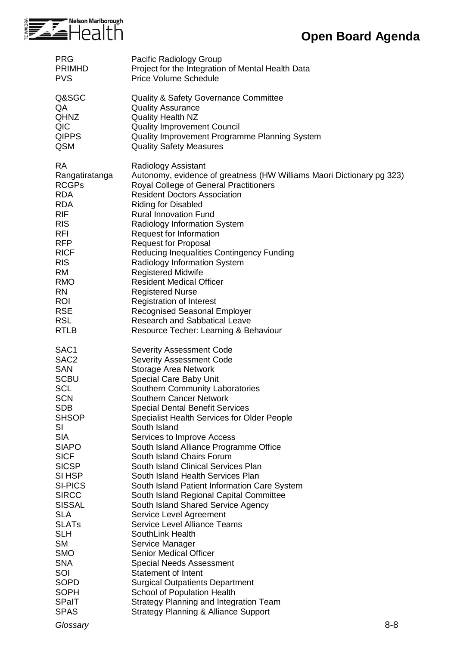

| <b>PRG</b>       | Pacific Radiology Group                                               |
|------------------|-----------------------------------------------------------------------|
| <b>PRIMHD</b>    | Project for the Integration of Mental Health Data                     |
| <b>PVS</b>       | <b>Price Volume Schedule</b>                                          |
| Q&SGC            | <b>Quality &amp; Safety Governance Committee</b>                      |
| QA               | <b>Quality Assurance</b>                                              |
| <b>QHNZ</b>      | <b>Quality Health NZ</b>                                              |
| QIC              | <b>Quality Improvement Council</b>                                    |
| <b>QIPPS</b>     | Quality Improvement Programme Planning System                         |
| <b>QSM</b>       | <b>Quality Safety Measures</b>                                        |
| <b>RA</b>        | Radiology Assistant                                                   |
| Rangatiratanga   | Autonomy, evidence of greatness (HW Williams Maori Dictionary pg 323) |
| <b>RCGPs</b>     | Royal College of General Practitioners                                |
| <b>RDA</b>       | <b>Resident Doctors Association</b>                                   |
| <b>RDA</b>       | <b>Riding for Disabled</b>                                            |
| <b>RIF</b>       | <b>Rural Innovation Fund</b>                                          |
| <b>RIS</b>       | <b>Radiology Information System</b>                                   |
| <b>RFI</b>       | <b>Request for Information</b>                                        |
| <b>RFP</b>       | <b>Request for Proposal</b>                                           |
| <b>RICF</b>      | Reducing Inequalities Contingency Funding                             |
| <b>RIS</b>       | Radiology Information System                                          |
| <b>RM</b>        | <b>Registered Midwife</b>                                             |
| <b>RMO</b>       | <b>Resident Medical Officer</b>                                       |
| <b>RN</b>        | <b>Registered Nurse</b>                                               |
| <b>ROI</b>       | <b>Registration of Interest</b>                                       |
| <b>RSE</b>       | <b>Recognised Seasonal Employer</b>                                   |
| <b>RSL</b>       | <b>Research and Sabbatical Leave</b>                                  |
| <b>RTLB</b>      | Resource Techer: Learning & Behaviour                                 |
| SAC <sub>1</sub> | <b>Severity Assessment Code</b>                                       |
| SAC <sub>2</sub> | <b>Severity Assessment Code</b>                                       |
| <b>SAN</b>       | <b>Storage Area Network</b>                                           |
| <b>SCBU</b>      | Special Care Baby Unit                                                |
| <b>SCL</b>       | Southern Community Laboratories                                       |
| <b>SCN</b>       | <b>Southern Cancer Network</b>                                        |
| <b>SDB</b>       | <b>Special Dental Benefit Services</b>                                |
| <b>SHSOP</b>     | <b>Specialist Health Services for Older People</b>                    |
| SI               | South Island                                                          |
| <b>SIA</b>       | Services to Improve Access                                            |
| <b>SIAPO</b>     | South Island Alliance Programme Office                                |
| <b>SICF</b>      | South Island Chairs Forum                                             |
| <b>SICSP</b>     | South Island Clinical Services Plan                                   |
| SI HSP           | South Island Health Services Plan                                     |
| <b>SI-PICS</b>   | South Island Patient Information Care System                          |
| <b>SIRCC</b>     | South Island Regional Capital Committee                               |
| <b>SISSAL</b>    | South Island Shared Service Agency                                    |
| <b>SLA</b>       | Service Level Agreement                                               |
| <b>SLATs</b>     | Service Level Alliance Teams                                          |
| <b>SLH</b>       | SouthLink Health                                                      |
| <b>SM</b>        | Service Manager                                                       |
| <b>SMO</b>       | <b>Senior Medical Officer</b>                                         |
| <b>SNA</b>       | <b>Special Needs Assessment</b>                                       |
| SOI              | <b>Statement of Intent</b>                                            |
| <b>SOPD</b>      | <b>Surgical Outpatients Department</b>                                |
| <b>SOPH</b>      | <b>School of Population Health</b>                                    |
| SPaIT            | Strategy Planning and Integration Team                                |
| <b>SPAS</b>      | <b>Strategy Planning &amp; Alliance Support</b>                       |

*Glossary* 8-8